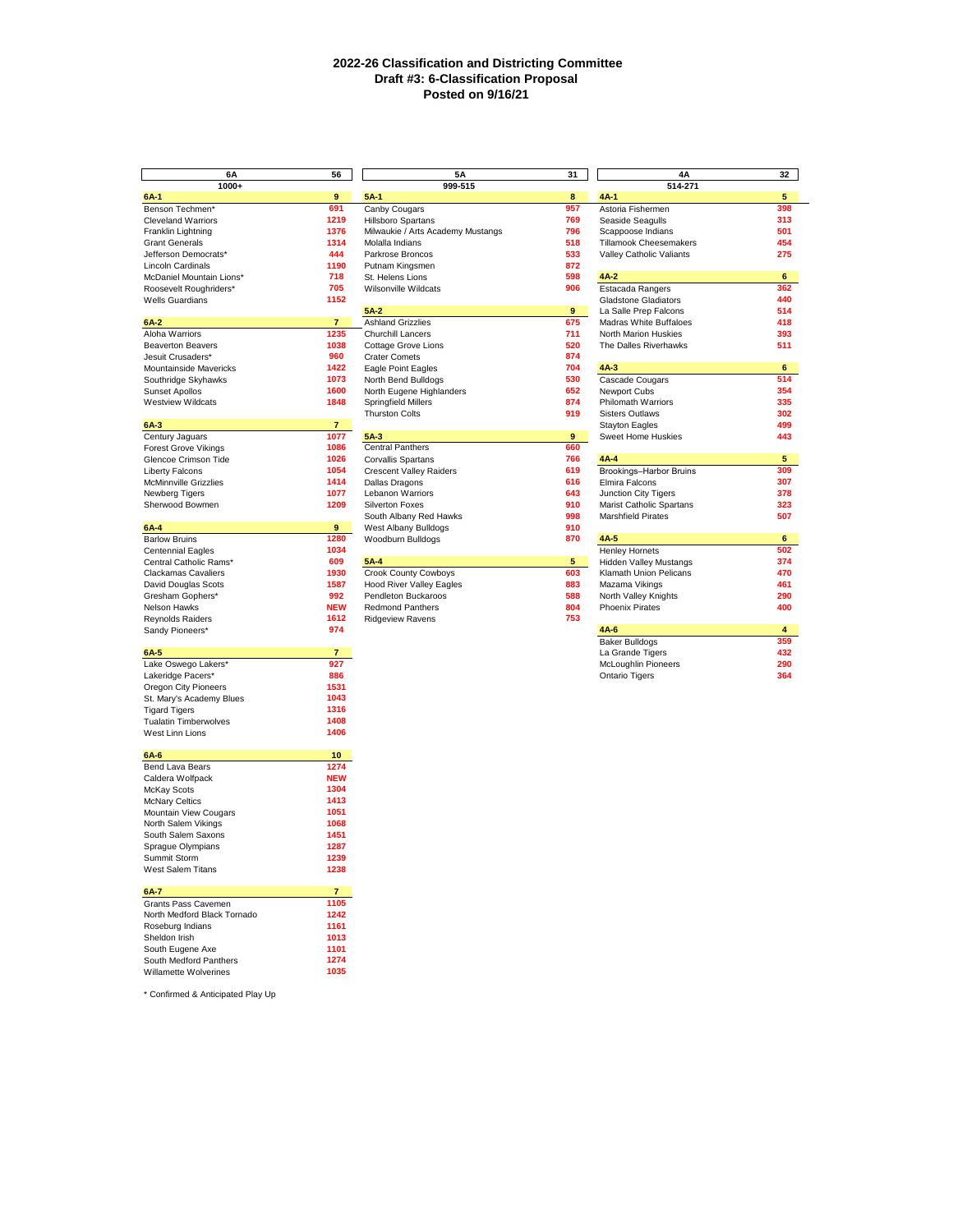## **2022-26 Classification and Districting Committee Draft #3: 6-Classification Proposal Posted on 9/16/21**

| 6A                           | 56             | 5A                                | 31             | 4A                            | 32                      |
|------------------------------|----------------|-----------------------------------|----------------|-------------------------------|-------------------------|
| 1000+                        |                | 999-515                           |                | 514-271                       |                         |
| $6A-1$                       | 9              | $5A-1$                            | 8              | $4A-1$                        | 5                       |
| Benson Techmen*              | 691            | Canby Cougars                     | 957            | Astoria Fishermen             | 398                     |
| <b>Cleveland Warriors</b>    | 1219           | <b>Hillsboro Spartans</b>         | 769            | Seaside Seagulls              | 313                     |
| Franklin Lightning           | 1376           | Milwaukie / Arts Academy Mustangs | 796            | Scappoose Indians             | 501                     |
|                              | 1314           |                                   | 518            |                               | 454                     |
| <b>Grant Generals</b>        |                | Molalla Indians                   |                | Tillamook Cheesemakers        |                         |
| Jefferson Democrats*         | 444            | Parkrose Broncos                  | 533            | Valley Catholic Valiants      | 275                     |
| <b>Lincoln Cardinals</b>     | 1190           | Putnam Kingsmen                   | 872            |                               |                         |
| McDaniel Mountain Lions*     | 718            | St. Helens Lions                  | 598            | $4A-2$                        | 6                       |
| Roosevelt Roughriders*       | 705            | Wilsonville Wildcats              | 906            | Estacada Rangers              | 362                     |
| <b>Wells Guardians</b>       | 1152           |                                   |                | <b>Gladstone Gladiators</b>   | 440                     |
|                              |                | $5A-2$                            | 9              | La Salle Prep Falcons         | 514                     |
| $6A-2$                       | $\overline{7}$ | <b>Ashland Grizzlies</b>          | 675            | Madras White Buffaloes        | 418                     |
| Aloha Warriors               | 1235           | Churchill Lancers                 | 711            | North Marion Huskies          | 393                     |
| <b>Beaverton Beavers</b>     | 1038           | <b>Cottage Grove Lions</b>        | 520            | The Dalles Riverhawks         | 511                     |
| Jesuit Crusaders*            | 960            | <b>Crater Comets</b>              | 874            |                               |                         |
|                              | 1422           |                                   | 704            | $4A-3$                        | 6                       |
| Mountainside Mavericks       |                | Eagle Point Eagles                |                |                               |                         |
| Southridge Skyhawks          | 1073           | North Bend Bulldogs               | 530            | Cascade Cougars               | 514                     |
| Sunset Apollos               | 1600           | North Eugene Highlanders          | 652            | Newport Cubs                  | 354                     |
| <b>Westview Wildcats</b>     | 1848           | <b>Springfield Millers</b>        | 874            | Philomath Warriors            | 335                     |
|                              |                | <b>Thurston Colts</b>             | 919            | <b>Sisters Outlaws</b>        | 302                     |
| 6A 3                         | $7 -$          |                                   |                | <b>Stayton Eagles</b>         | 499                     |
| Century Jaguars              | 1077           | 5A 3                              | 9              | Sweet Home Huskies            | 443                     |
| <b>Forest Grove Vikings</b>  | 1086           | <b>Central Panthers</b>           | 660            |                               |                         |
|                              | 1026           |                                   | 766            | 4A-4                          | 5                       |
| Glencoe Crimson Tide         |                | Corvallis Spartans                |                |                               |                         |
| <b>Liberty Falcons</b>       | 1054           | <b>Crescent Valley Raiders</b>    | 619            | Brookings-Harbor Bruins       | 309                     |
| McMinnville Grizzlies        | 1414           | Dallas Dragons                    | 616            | Elmira Falcons                | 307                     |
| Newberg Tigers               | 1077           | Lebanon Warriors                  | 643            | Junction City Tigers          | 378                     |
| Sherwood Bowmen              | 1209           | <b>Silverton Foxes</b>            | 910            | Marist Catholic Spartans      | 323                     |
|                              |                | South Albany Red Hawks            | 998            | <b>Marshfield Pirates</b>     | 507                     |
| 6A-4                         | 9              | West Albany Bulldogs              | 910            |                               |                         |
| <b>Barlow Bruins</b>         | 1280           | Woodburn Bulldogs                 | 870            | 4A 5                          | 6                       |
|                              |                |                                   |                |                               | 502                     |
| <b>Centennial Eagles</b>     | 1034           |                                   |                | <b>Henley Hornets</b>         |                         |
| Central Catholic Rams*       | 609            | 5A-4                              | 5 <sub>1</sub> | <b>Hidden Valley Mustangs</b> | 374                     |
| <b>Clackamas Cavaliers</b>   | 1930           | Crook County Cowboys              | 603            | Klamath Union Pelicans        | 470                     |
| David Douglas Scots          | 1587           | <b>Hood River Valley Eagles</b>   | 883            | Mazama Vikings                | 461                     |
| Gresham Gophers*             | 992            | Pendleton Buckaroos               | 588            | North Valley Knights          | 290                     |
| Nelson Hawks                 | <b>NEW</b>     | <b>Redmond Panthers</b>           | 804            | <b>Phoenix Pirates</b>        | 400                     |
| Reynolds Raiders             | 1612           | <b>Ridgeview Ravens</b>           | 753            |                               |                         |
| Sandy Pioneers*              | 974            |                                   |                | 4A 6                          | $\overline{\mathbf{4}}$ |
|                              |                |                                   |                | <b>Baker Bulldogs</b>         | 359                     |
| 6A-5                         | $\overline{7}$ |                                   |                | La Grande Tigers              | 432                     |
|                              | 927            |                                   |                |                               |                         |
| Lake Oswego Lakers*          |                |                                   |                | McLoughlin Pioneers           | 290                     |
| Lakeridge Pacers*            | 886            |                                   |                | Ontario Tigers                | 364                     |
| Oregon City Pioneers         | 1531           |                                   |                |                               |                         |
| St. Mary's Academy Blues     | 1043           |                                   |                |                               |                         |
| <b>Tigard Tigers</b>         | 1316           |                                   |                |                               |                         |
| <b>Tualatin Timberwolves</b> | 1408           |                                   |                |                               |                         |
| West Linn Lions              | 1406           |                                   |                |                               |                         |
|                              |                |                                   |                |                               |                         |
| 6A-6                         | 10             |                                   |                |                               |                         |
| Bend Lava Bears              | 1274           |                                   |                |                               |                         |
|                              |                |                                   |                |                               |                         |
| Caldera Wolfpack             | <b>NEW</b>     |                                   |                |                               |                         |
| McKay Scots                  | 1304           |                                   |                |                               |                         |
| <b>McNary Celtics</b>        | 1413           |                                   |                |                               |                         |
| Mountain View Cougars        | 1051           |                                   |                |                               |                         |
| North Salem Vikings          | 1068           |                                   |                |                               |                         |
| South Salem Saxons           | 1451           |                                   |                |                               |                         |
| Spraque Olympians            | 1287           |                                   |                |                               |                         |
|                              |                |                                   |                |                               |                         |
| Summit Storm                 | 1239           |                                   |                |                               |                         |
| West Salem Titans            | 1238           |                                   |                |                               |                         |
|                              |                |                                   |                |                               |                         |
| 6A-7                         | $\overline{7}$ |                                   |                |                               |                         |
| Grants Pass Cavemen          | 1105           |                                   |                |                               |                         |
| North Medford Black Tornado  | 1242           |                                   |                |                               |                         |
| Roseburg Indians             | 1161           |                                   |                |                               |                         |
| Sheldon Irish                | 1013           |                                   |                |                               |                         |
| South Eugene Axe             | 1101           |                                   |                |                               |                         |
| South Medford Panthers       | 1274           |                                   |                |                               |                         |
|                              |                |                                   |                |                               |                         |
| Willamette Wolverines        | 1035           |                                   |                |                               |                         |
|                              |                |                                   |                |                               |                         |

\* Confirmed & Anticipated Play Up